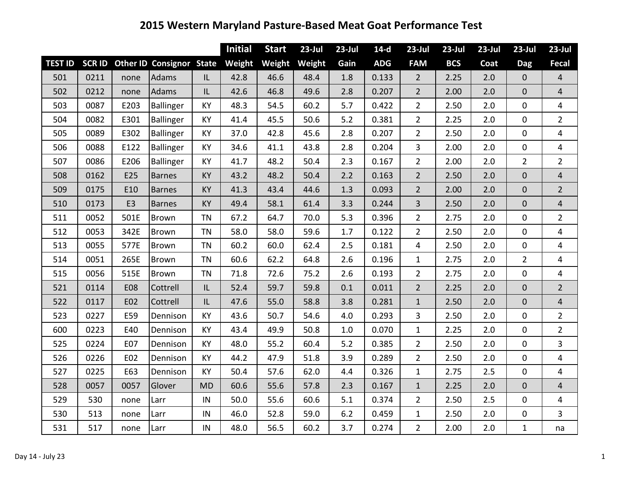|                |      |                |                                        |           | <b>Initial</b> | <b>Start</b> | $23$ -Jul | $23$ -Jul | $14-d$     | $23$ -Jul      | $23$ -Jul  | $23$ -Jul | $23$ -Jul        | $23$ -Jul       |
|----------------|------|----------------|----------------------------------------|-----------|----------------|--------------|-----------|-----------|------------|----------------|------------|-----------|------------------|-----------------|
| <b>TEST ID</b> |      |                | <b>SCR ID Other ID Consignor State</b> |           | Weight         | Weight       | Weight    | Gain      | <b>ADG</b> | <b>FAM</b>     | <b>BCS</b> | Coat      | <b>Dag</b>       | Fecal           |
| 501            | 0211 | none           | <b>Adams</b>                           | IL        | 42.8           | 46.6         | 48.4      | 1.8       | 0.133      | $\overline{2}$ | 2.25       | 2.0       | $\mathbf{0}$     | $\overline{4}$  |
| 502            | 0212 | none           | <b>Adams</b>                           | IL        | 42.6           | 46.8         | 49.6      | 2.8       | 0.207      | $\overline{2}$ | 2.00       | 2.0       | $\mathbf{0}$     | $\overline{4}$  |
| 503            | 0087 | E203           | Ballinger                              | <b>KY</b> | 48.3           | 54.5         | 60.2      | 5.7       | 0.422      | $\overline{2}$ | 2.50       | 2.0       | $\mathbf 0$      | $\overline{4}$  |
| 504            | 0082 | E301           | <b>Ballinger</b>                       | <b>KY</b> | 41.4           | 45.5         | 50.6      | 5.2       | 0.381      | $\overline{2}$ | 2.25       | 2.0       | $\mathbf 0$      | $\overline{2}$  |
| 505            | 0089 | E302           | Ballinger                              | KY        | 37.0           | 42.8         | 45.6      | 2.8       | 0.207      | $\overline{2}$ | 2.50       | 2.0       | $\mathbf 0$      | 4               |
| 506            | 0088 | E122           | Ballinger                              | <b>KY</b> | 34.6           | 41.1         | 43.8      | 2.8       | 0.204      | $\overline{3}$ | 2.00       | 2.0       | $\mathbf 0$      | 4               |
| 507            | 0086 | E206           | Ballinger                              | <b>KY</b> | 41.7           | 48.2         | 50.4      | 2.3       | 0.167      | $\overline{2}$ | 2.00       | 2.0       | $\overline{2}$   | $\overline{2}$  |
| 508            | 0162 | E25            | <b>Barnes</b>                          | KY        | 43.2           | 48.2         | 50.4      | 2.2       | 0.163      | $\overline{2}$ | 2.50       | 2.0       | $\boldsymbol{0}$ | $\overline{4}$  |
| 509            | 0175 | E10            | <b>Barnes</b>                          | <b>KY</b> | 41.3           | 43.4         | 44.6      | 1.3       | 0.093      | $\overline{2}$ | 2.00       | 2.0       | $\mathbf{0}$     | $2\overline{ }$ |
| 510            | 0173 | E <sub>3</sub> | <b>Barnes</b>                          | KY        | 49.4           | 58.1         | 61.4      | 3.3       | 0.244      | $\overline{3}$ | 2.50       | 2.0       | $\mathbf{0}$     | $\overline{4}$  |
| 511            | 0052 | 501E           | <b>Brown</b>                           | <b>TN</b> | 67.2           | 64.7         | 70.0      | 5.3       | 0.396      | $\overline{2}$ | 2.75       | 2.0       | $\mathbf 0$      | $\overline{2}$  |
| 512            | 0053 | 342E           | <b>Brown</b>                           | <b>TN</b> | 58.0           | 58.0         | 59.6      | 1.7       | 0.122      | $\overline{2}$ | 2.50       | 2.0       | $\mathbf 0$      | $\overline{4}$  |
| 513            | 0055 | 577E           | <b>Brown</b>                           | <b>TN</b> | 60.2           | 60.0         | 62.4      | 2.5       | 0.181      | $\overline{4}$ | 2.50       | 2.0       | $\mathbf 0$      | 4               |
| 514            | 0051 | 265E           | <b>Brown</b>                           | <b>TN</b> | 60.6           | 62.2         | 64.8      | 2.6       | 0.196      | $\mathbf{1}$   | 2.75       | 2.0       | $\overline{2}$   | 4               |
| 515            | 0056 | 515E           | Brown                                  | <b>TN</b> | 71.8           | 72.6         | 75.2      | 2.6       | 0.193      | $\overline{2}$ | 2.75       | 2.0       | $\mathbf 0$      | $\overline{4}$  |
| 521            | 0114 | <b>E08</b>     | Cottrell                               | IL        | 52.4           | 59.7         | 59.8      | 0.1       | 0.011      | $\overline{2}$ | 2.25       | 2.0       | $\mathbf 0$      | $\overline{2}$  |
| 522            | 0117 | E02            | Cottrell                               | IL.       | 47.6           | 55.0         | 58.8      | 3.8       | 0.281      | $\mathbf{1}$   | 2.50       | 2.0       | $\mathbf 0$      | $\overline{4}$  |
| 523            | 0227 | E59            | Dennison                               | <b>KY</b> | 43.6           | 50.7         | 54.6      | 4.0       | 0.293      | 3              | 2.50       | 2.0       | $\mathbf 0$      | $\overline{2}$  |
| 600            | 0223 | E40            | Dennison                               | <b>KY</b> | 43.4           | 49.9         | 50.8      | $1.0\,$   | 0.070      | $\mathbf{1}$   | 2.25       | 2.0       | $\mathbf 0$      | $\overline{2}$  |
| 525            | 0224 | E07            | Dennison                               | KY        | 48.0           | 55.2         | 60.4      | 5.2       | 0.385      | $\overline{2}$ | 2.50       | 2.0       | $\mathbf 0$      | 3               |
| 526            | 0226 | E02            | Dennison                               | <b>KY</b> | 44.2           | 47.9         | 51.8      | 3.9       | 0.289      | $\overline{2}$ | 2.50       | 2.0       | $\mathbf 0$      | 4               |
| 527            | 0225 | E63            | Dennison                               | <b>KY</b> | 50.4           | 57.6         | 62.0      | 4.4       | 0.326      | $\mathbf{1}$   | 2.75       | 2.5       | $\mathbf 0$      | 4               |
| 528            | 0057 | 0057           | Glover                                 | <b>MD</b> | 60.6           | 55.6         | 57.8      | 2.3       | 0.167      | $\mathbf{1}$   | 2.25       | 2.0       | $\mathbf 0$      | $\overline{4}$  |
| 529            | 530  | none           | Larr                                   | IN        | 50.0           | 55.6         | 60.6      | 5.1       | 0.374      | $\overline{2}$ | 2.50       | 2.5       | $\mathbf 0$      | $\overline{4}$  |
| 530            | 513  | none           | Larr                                   | IN        | 46.0           | 52.8         | 59.0      | 6.2       | 0.459      | $\mathbf{1}$   | 2.50       | 2.0       | $\mathbf 0$      | $\overline{3}$  |
| 531            | 517  | none           | Larr                                   | IN        | 48.0           | 56.5         | 60.2      | 3.7       | 0.274      | $\overline{2}$ | 2.00       | 2.0       | $\mathbf{1}$     | na              |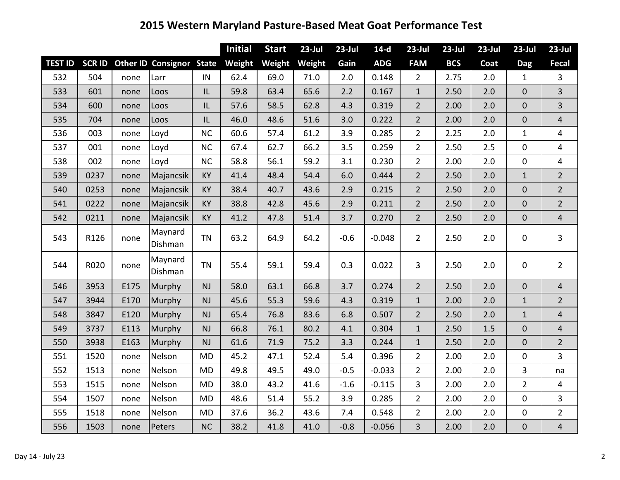|                |      |      |                                 |           | <b>Initial</b> | <b>Start</b> | $23$ -Jul | $23$ -Jul | $14-d$     | $23$ -Jul      | $23$ -Jul  | $23$ -Jul | $23$ -Jul        | $23$ -Jul      |
|----------------|------|------|---------------------------------|-----------|----------------|--------------|-----------|-----------|------------|----------------|------------|-----------|------------------|----------------|
| <b>TEST ID</b> |      |      | SCR ID Other ID Consignor State |           | Weight         | Weight       | Weight    | Gain      | <b>ADG</b> | <b>FAM</b>     | <b>BCS</b> | Coat      | <b>Dag</b>       | Fecal          |
| 532            | 504  | none | Larr                            | IN        | 62.4           | 69.0         | 71.0      | 2.0       | 0.148      | $\overline{2}$ | 2.75       | 2.0       | $\mathbf{1}$     | $\overline{3}$ |
| 533            | 601  | none | Loos                            | IL.       | 59.8           | 63.4         | 65.6      | 2.2       | 0.167      | $\mathbf{1}$   | 2.50       | 2.0       | $\mathbf{0}$     | 3              |
| 534            | 600  | none | Loos                            | IL.       | 57.6           | 58.5         | 62.8      | 4.3       | 0.319      | $\overline{2}$ | 2.00       | 2.0       | $\mathbf 0$      | $\overline{3}$ |
| 535            | 704  | none | Loos                            | IL.       | 46.0           | 48.6         | 51.6      | 3.0       | 0.222      | $\overline{2}$ | 2.00       | 2.0       | $\mathbf{0}$     | $\overline{4}$ |
| 536            | 003  | none | Loyd                            | <b>NC</b> | 60.6           | 57.4         | 61.2      | 3.9       | 0.285      | $\overline{2}$ | 2.25       | 2.0       | $\mathbf{1}$     | 4              |
| 537            | 001  | none | Loyd                            | NC        | 67.4           | 62.7         | 66.2      | 3.5       | 0.259      | $\overline{2}$ | 2.50       | 2.5       | $\mathbf 0$      | 4              |
| 538            | 002  | none | Loyd                            | NC        | 58.8           | 56.1         | 59.2      | 3.1       | 0.230      | $\overline{2}$ | 2.00       | 2.0       | $\mathbf 0$      | $\overline{4}$ |
| 539            | 0237 | none | Majancsik                       | <b>KY</b> | 41.4           | 48.4         | 54.4      | 6.0       | 0.444      | $\overline{2}$ | 2.50       | 2.0       | $\mathbf{1}$     | $\overline{2}$ |
| 540            | 0253 | none | Majancsik                       | <b>KY</b> | 38.4           | 40.7         | 43.6      | 2.9       | 0.215      | $\overline{2}$ | 2.50       | 2.0       | $\mathbf 0$      | $\overline{2}$ |
| 541            | 0222 | none | Majancsik                       | KY        | 38.8           | 42.8         | 45.6      | 2.9       | 0.211      | $\overline{2}$ | 2.50       | 2.0       | $\mathbf{0}$     | $\overline{2}$ |
| 542            | 0211 | none | Majancsik                       | <b>KY</b> | 41.2           | 47.8         | 51.4      | 3.7       | 0.270      | $\overline{2}$ | 2.50       | 2.0       | $\mathbf 0$      | $\overline{4}$ |
| 543            | R126 | none | Maynard<br>Dishman              | <b>TN</b> | 63.2           | 64.9         | 64.2      | $-0.6$    | $-0.048$   | $\overline{2}$ | 2.50       | 2.0       | $\mathbf 0$      | $\overline{3}$ |
| 544            | R020 | none | Maynard<br>Dishman              | <b>TN</b> | 55.4           | 59.1         | 59.4      | 0.3       | 0.022      | 3              | 2.50       | 2.0       | $\mathbf 0$      | $\overline{2}$ |
| 546            | 3953 | E175 | Murphy                          | <b>NJ</b> | 58.0           | 63.1         | 66.8      | 3.7       | 0.274      | $\overline{2}$ | 2.50       | 2.0       | $\mathbf{0}$     | $\overline{4}$ |
| 547            | 3944 | E170 | Murphy                          | <b>NJ</b> | 45.6           | 55.3         | 59.6      | 4.3       | 0.319      | $\mathbf{1}$   | 2.00       | 2.0       | $\mathbf{1}$     | $\overline{2}$ |
| 548            | 3847 | E120 | Murphy                          | <b>NJ</b> | 65.4           | 76.8         | 83.6      | 6.8       | 0.507      | $\overline{2}$ | 2.50       | 2.0       | $\mathbf{1}$     | $\overline{4}$ |
| 549            | 3737 | E113 | Murphy                          | <b>NJ</b> | 66.8           | 76.1         | 80.2      | 4.1       | 0.304      | $\mathbf{1}$   | 2.50       | 1.5       | $\mathbf{0}$     | $\overline{4}$ |
| 550            | 3938 | E163 | Murphy                          | <b>NJ</b> | 61.6           | 71.9         | 75.2      | 3.3       | 0.244      | $\mathbf{1}$   | 2.50       | 2.0       | $\mathbf{0}$     | $\overline{2}$ |
| 551            | 1520 | none | Nelson                          | <b>MD</b> | 45.2           | 47.1         | 52.4      | 5.4       | 0.396      | $\overline{2}$ | 2.00       | 2.0       | $\mathbf 0$      | 3              |
| 552            | 1513 | none | Nelson                          | <b>MD</b> | 49.8           | 49.5         | 49.0      | $-0.5$    | $-0.033$   | $\overline{2}$ | 2.00       | 2.0       | 3                | na             |
| 553            | 1515 | none | Nelson                          | <b>MD</b> | 38.0           | 43.2         | 41.6      | $-1.6$    | $-0.115$   | 3              | 2.00       | 2.0       | $\overline{2}$   | 4              |
| 554            | 1507 | none | Nelson                          | <b>MD</b> | 48.6           | 51.4         | 55.2      | 3.9       | 0.285      | $\overline{2}$ | 2.00       | 2.0       | $\mathbf 0$      | $\mathbf{3}$   |
| 555            | 1518 | none | Nelson                          | <b>MD</b> | 37.6           | 36.2         | 43.6      | 7.4       | 0.548      | $\overline{2}$ | 2.00       | 2.0       | $\pmb{0}$        | $\overline{2}$ |
| 556            | 1503 | none | Peters                          | <b>NC</b> | 38.2           | 41.8         | 41.0      | $-0.8$    | $-0.056$   | 3              | 2.00       | 2.0       | $\boldsymbol{0}$ | $\overline{4}$ |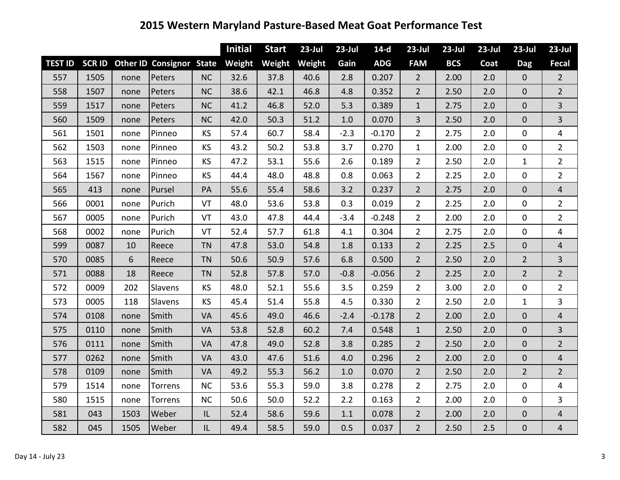|                |      |      |                                        |           | <b>Initial</b> | <b>Start</b> | $23$ -Jul | $23$ -Jul | $14-d$     | $23$ -Jul      | $23$ -Jul  | $23$ -Jul | $23$ -Jul      | $23$ -Jul               |
|----------------|------|------|----------------------------------------|-----------|----------------|--------------|-----------|-----------|------------|----------------|------------|-----------|----------------|-------------------------|
| <b>TEST ID</b> |      |      | <b>SCR ID Other ID Consignor State</b> |           | Weight         | Weight       | Weight    | Gain      | <b>ADG</b> | <b>FAM</b>     | <b>BCS</b> | Coat      | <b>Dag</b>     | <b>Fecal</b>            |
| 557            | 1505 | none | Peters                                 | <b>NC</b> | 32.6           | 37.8         | 40.6      | 2.8       | 0.207      | $\overline{2}$ | 2.00       | 2.0       | $\overline{0}$ | $\overline{2}$          |
| 558            | 1507 | none | Peters                                 | <b>NC</b> | 38.6           | 42.1         | 46.8      | 4.8       | 0.352      | $\overline{2}$ | 2.50       | 2.0       | $\mathbf{0}$   | $\overline{2}$          |
| 559            | 1517 | none | Peters                                 | <b>NC</b> | 41.2           | 46.8         | 52.0      | 5.3       | 0.389      | $\mathbf{1}$   | 2.75       | 2.0       | $\overline{0}$ | $\overline{3}$          |
| 560            | 1509 | none | Peters                                 | <b>NC</b> | 42.0           | 50.3         | 51.2      | 1.0       | 0.070      | $\overline{3}$ | 2.50       | 2.0       | $\mathbf 0$    | 3                       |
| 561            | 1501 | none | Pinneo                                 | <b>KS</b> | 57.4           | 60.7         | 58.4      | $-2.3$    | $-0.170$   | $\overline{2}$ | 2.75       | 2.0       | $\mathbf 0$    | 4                       |
| 562            | 1503 | none | Pinneo                                 | <b>KS</b> | 43.2           | 50.2         | 53.8      | 3.7       | 0.270      | $\mathbf{1}$   | 2.00       | 2.0       | $\mathbf{0}$   | $\overline{2}$          |
| 563            | 1515 | none | Pinneo                                 | <b>KS</b> | 47.2           | 53.1         | 55.6      | 2.6       | 0.189      | $\overline{2}$ | 2.50       | 2.0       | $\mathbf{1}$   | $\overline{2}$          |
| 564            | 1567 | none | Pinneo                                 | <b>KS</b> | 44.4           | 48.0         | 48.8      | 0.8       | 0.063      | $\overline{2}$ | 2.25       | 2.0       | $\mathbf 0$    | $\overline{2}$          |
| 565            | 413  | none | Pursel                                 | PA        | 55.6           | 55.4         | 58.6      | 3.2       | 0.237      | $\overline{2}$ | 2.75       | 2.0       | $\mathbf 0$    | $\overline{4}$          |
| 566            | 0001 | none | Purich                                 | VT        | 48.0           | 53.6         | 53.8      | 0.3       | 0.019      | $\overline{2}$ | 2.25       | 2.0       | $\mathbf{0}$   | $\overline{2}$          |
| 567            | 0005 | none | Purich                                 | VT        | 43.0           | 47.8         | 44.4      | $-3.4$    | $-0.248$   | $\overline{2}$ | 2.00       | 2.0       | $\mathbf 0$    | $\overline{2}$          |
| 568            | 0002 | none | Purich                                 | VT        | 52.4           | 57.7         | 61.8      | 4.1       | 0.304      | $\overline{2}$ | 2.75       | 2.0       | $\mathbf 0$    | 4                       |
| 599            | 0087 | 10   | Reece                                  | <b>TN</b> | 47.8           | 53.0         | 54.8      | 1.8       | 0.133      | $\overline{2}$ | 2.25       | 2.5       | $\mathbf{0}$   | $\overline{\mathbf{r}}$ |
| 570            | 0085 | 6    | Reece                                  | <b>TN</b> | 50.6           | 50.9         | 57.6      | 6.8       | 0.500      | $\overline{2}$ | 2.50       | 2.0       | $\overline{2}$ | $\overline{\mathbf{3}}$ |
| 571            | 0088 | 18   | Reece                                  | <b>TN</b> | 52.8           | 57.8         | 57.0      | $-0.8$    | $-0.056$   | $\overline{2}$ | 2.25       | 2.0       | $\overline{2}$ | $\overline{2}$          |
| 572            | 0009 | 202  | Slavens                                | <b>KS</b> | 48.0           | 52.1         | 55.6      | 3.5       | 0.259      | $\overline{2}$ | 3.00       | 2.0       | $\mathbf{0}$   | $\overline{2}$          |
| 573            | 0005 | 118  | Slavens                                | <b>KS</b> | 45.4           | 51.4         | 55.8      | 4.5       | 0.330      | $\overline{2}$ | 2.50       | 2.0       | $1\,$          | $\overline{3}$          |
| 574            | 0108 | none | Smith                                  | VA        | 45.6           | 49.0         | 46.6      | $-2.4$    | $-0.178$   | $\overline{2}$ | 2.00       | 2.0       | $\overline{0}$ | 4                       |
| 575            | 0110 | none | Smith                                  | VA        | 53.8           | 52.8         | 60.2      | 7.4       | 0.548      | $\mathbf{1}$   | 2.50       | 2.0       | $\overline{0}$ | $\overline{3}$          |
| 576            | 0111 | none | Smith                                  | VA        | 47.8           | 49.0         | 52.8      | 3.8       | 0.285      | $\overline{2}$ | 2.50       | 2.0       | $\mathbf 0$    | $\overline{2}$          |
| 577            | 0262 | none | Smith                                  | <b>VA</b> | 43.0           | 47.6         | 51.6      | 4.0       | 0.296      | $\overline{2}$ | 2.00       | 2.0       | $\mathbf{0}$   | $\overline{4}$          |
| 578            | 0109 | none | Smith                                  | VA        | 49.2           | 55.3         | 56.2      | 1.0       | 0.070      | $\overline{2}$ | 2.50       | 2.0       | $\overline{2}$ | $\overline{2}$          |
| 579            | 1514 | none | Torrens                                | <b>NC</b> | 53.6           | 55.3         | 59.0      | 3.8       | 0.278      | $\overline{2}$ | 2.75       | 2.0       | $\mathbf{0}$   | 4                       |
| 580            | 1515 | none | Torrens                                | <b>NC</b> | 50.6           | 50.0         | 52.2      | 2.2       | 0.163      | $\overline{2}$ | 2.00       | 2.0       | $\mathbf 0$    | $\overline{\mathbf{3}}$ |
| 581            | 043  | 1503 | Weber                                  | IL.       | 52.4           | 58.6         | 59.6      | 1.1       | 0.078      | $\overline{2}$ | 2.00       | 2.0       | $\mathbf 0$    | $\overline{\mathbf{r}}$ |
| 582            | 045  | 1505 | Weber                                  | IL.       | 49.4           | 58.5         | 59.0      | 0.5       | 0.037      | $\overline{2}$ | 2.50       | 2.5       | $\overline{0}$ | $\overline{4}$          |